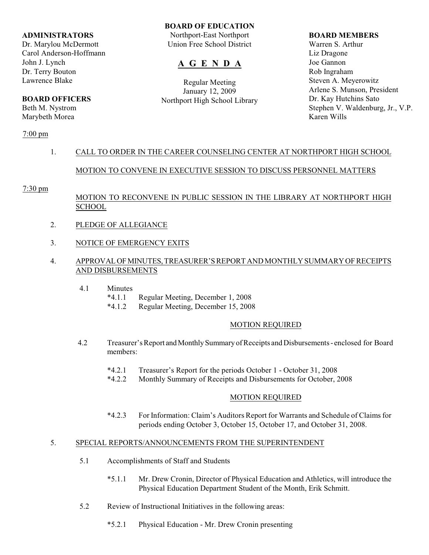#### **ADMINISTRATORS**

Dr. Marylou McDermott Carol Anderson-Hoffmann John J. Lynch Dr. Terry Bouton Lawrence Blake

# **BOARD OFFICERS**

Beth M. Nystrom Marybeth Morea

# 7:00 pm

# **BOARD OF EDUCATION**

Northport-East Northport Union Free School District

# **A G E N D A**

Regular Meeting January 12, 2009 Northport High School Library

#### **BOARD MEMBERS**

Warren S. Arthur Liz Dragone Joe Gannon Rob Ingraham Steven A. Meyerowitz Arlene S. Munson, President Dr. Kay Hutchins Sato Stephen V. Waldenburg, Jr., V.P. Karen Wills

# 1. CALL TO ORDER IN THE CAREER COUNSELING CENTER AT NORTHPORT HIGH SCHOOL

# MOTION TO CONVENE IN EXECUTIVE SESSION TO DISCUSS PERSONNEL MATTERS

## 7:30 pm

# MOTION TO RECONVENE IN PUBLIC SESSION IN THE LIBRARY AT NORTHPORT HIGH SCHOOL

- 2. PLEDGE OF ALLEGIANCE
- 3. NOTICE OF EMERGENCY EXITS
- 4. APPROVAL OF MINUTES, TREASURER'S REPORT AND MONTHLY SUMMARY OF RECEIPTS AND DISBURSEMENTS
	- 4.1 Minutes
		- \*4.1.1 Regular Meeting, December 1, 2008
		- \*4.1.2 Regular Meeting, December 15, 2008

## MOTION REQUIRED

- 4.2 Treasurer's Report and Monthly Summary of Receipts and Disbursements enclosed for Board members:
	- \*4.2.1 Treasurer's Report for the periods October 1 October 31, 2008
	- \*4.2.2 Monthly Summary of Receipts and Disbursements for October, 2008

# MOTION REQUIRED

\*4.2.3 For Information: Claim's Auditors Report for Warrants and Schedule of Claims for periods ending October 3, October 15, October 17, and October 31, 2008.

## 5. SPECIAL REPORTS/ANNOUNCEMENTS FROM THE SUPERINTENDENT

- 5.1 Accomplishments of Staff and Students
	- \*5.1.1 Mr. Drew Cronin, Director of Physical Education and Athletics, will introduce the Physical Education Department Student of the Month, Erik Schmitt.
- 5.2 Review of Instructional Initiatives in the following areas:
	- \*5.2.1 Physical Education Mr. Drew Cronin presenting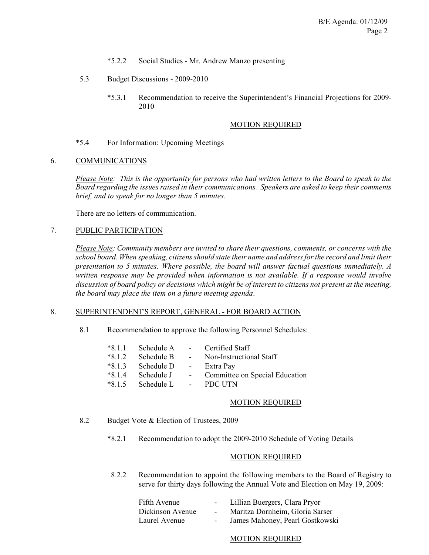- \*5.2.2 Social Studies Mr. Andrew Manzo presenting
- 5.3 Budget Discussions 2009-2010
	- \*5.3.1 Recommendation to receive the Superintendent's Financial Projections for 2009- 2010

#### MOTION REQUIRED

\*5.4 For Information: Upcoming Meetings

#### 6. COMMUNICATIONS

*Please Note: This is the opportunity for persons who had written letters to the Board to speak to the Board regarding the issues raised in their communications. Speakers are asked to keep their comments brief, and to speak for no longer than 5 minutes.*

There are no letters of communication.

#### 7. PUBLIC PARTICIPATION

*Please Note: Community members are invited to share their questions, comments, or concerns with the school board. When speaking, citizens should state their name and address for the record and limit their presentation to 5 minutes. Where possible, the board will answer factual questions immediately. A written response may be provided when information is not available. If a response would involve discussion of board policy or decisions which might be of interest to citizens not present at the meeting, the board may place the item on a future meeting agenda*.

#### 8. SUPERINTENDENT'S REPORT, GENERAL - FOR BOARD ACTION

8.1 Recommendation to approve the following Personnel Schedules:

| $*8.1.1$ | Schedule A           | $\sim$ 100 $\mu$                                     | Certified Staff                |
|----------|----------------------|------------------------------------------------------|--------------------------------|
| $*8.1.2$ | Schedule B           | $\sim 1000$ m $^{-1}$                                | Non-Instructional Staff        |
| $*8.1.3$ | Schedule D           | $\alpha$ , $\alpha$ , $\alpha$ , $\alpha$ , $\alpha$ | Extra Pay                      |
| $*8.1.4$ | Schedule J           | $\omega_{\rm{max}}$                                  | Committee on Special Education |
| $*8.1.5$ | Schedule L - PDC UTN |                                                      |                                |

#### MOTION REQUIRED

- 8.2 Budget Vote & Election of Trustees, 2009
	- \*8.2.1 Recommendation to adopt the 2009-2010 Schedule of Voting Details

## MOTION REQUIRED

8.2.2 Recommendation to appoint the following members to the Board of Registry to serve for thirty days following the Annual Vote and Election on May 19, 2009:

| Fifth Avenue     |        | Lillian Buergers, Clara Pryor   |
|------------------|--------|---------------------------------|
| Dickinson Avenue | $\sim$ | Maritza Dornheim, Gloria Sarser |
| Laurel Avenue    |        | James Mahoney, Pearl Gostkowski |

#### MOTION REQUIRED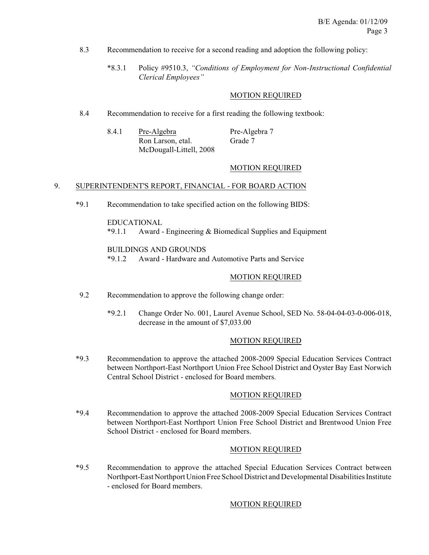- 8.3 Recommendation to receive for a second reading and adoption the following policy:
	- \*8.3.1 Policy #9510.3, *"Conditions of Employment for Non-Instructional Confidential Clerical Employees"*

## MOTION REQUIRED

8.4 Recommendation to receive for a first reading the following textbook:

| 8.4.1 | Pre-Algebra             | Pre-Algebra 7 |  |
|-------|-------------------------|---------------|--|
|       | Ron Larson, etal.       | Grade 7       |  |
|       | McDougall-Littell, 2008 |               |  |

# MOTION REQUIRED

## 9. SUPERINTENDENT'S REPORT, FINANCIAL - FOR BOARD ACTION

\*9.1 Recommendation to take specified action on the following BIDS:

#### EDUCATIONAL

\*9.1.1 Award - Engineering & Biomedical Supplies and Equipment

#### BUILDINGS AND GROUNDS

\*9.1.2 Award - Hardware and Automotive Parts and Service

#### MOTION REQUIRED

- 9.2 Recommendation to approve the following change order:
	- \*9.2.1 Change Order No. 001, Laurel Avenue School, SED No. 58-04-04-03-0-006-018, decrease in the amount of \$7,033.00

## MOTION REQUIRED

\*9.3 Recommendation to approve the attached 2008-2009 Special Education Services Contract between Northport-East Northport Union Free School District and Oyster Bay East Norwich Central School District - enclosed for Board members.

## MOTION REQUIRED

\*9.4 Recommendation to approve the attached 2008-2009 Special Education Services Contract between Northport-East Northport Union Free School District and Brentwood Union Free School District - enclosed for Board members.

## MOTION REQUIRED

\*9.5 Recommendation to approve the attached Special Education Services Contract between Northport-East Northport Union Free School District and Developmental Disabilities Institute - enclosed for Board members.

#### MOTION REQUIRED